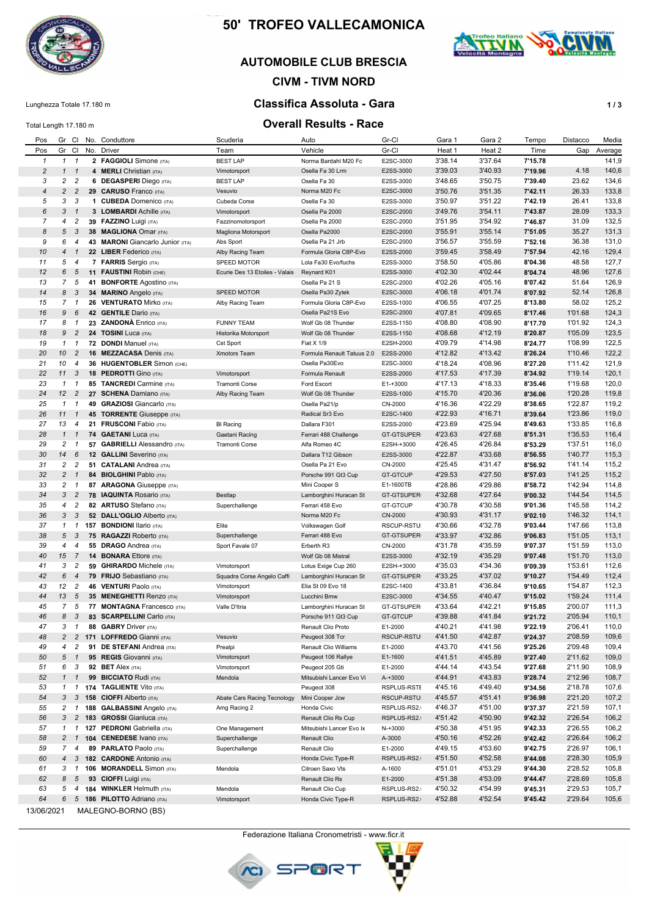

# **50' TROFEO VALLECAMONICA**

## **AUTOMOBILE CLUB BRESCIA**

## **CIVM - TIVM NORD**

# Lunghezza Totale 17.180 m **Classifica Assoluta - Gara Classifica Assoluta - Gara 1/3**

#### Total Length 17.180 m **Overall Results - Race**

| Pos            |                     |                                |     | Gr Cl No. Conduttore                                | Scuderia                       | Auto                                   | Gr-Cl                  | Gara 1             | Gara 2             | Tempo              | Distacco           | Media          |
|----------------|---------------------|--------------------------------|-----|-----------------------------------------------------|--------------------------------|----------------------------------------|------------------------|--------------------|--------------------|--------------------|--------------------|----------------|
| Pos            | Gr Cl               |                                |     | No. Driver                                          | Team                           | Vehicle                                | Gr-Cl                  | Heat 1             | Heat 2             | Time               | Gap                | Average        |
| $\mathbf{1}$   |                     | $1 \quad 1$                    |     | 2 FAGGIOLI Simone (ITA)                             | <b>BEST LAP</b>                | Norma Bardahl M20 Fc                   | E2SC-3000              | 3'38.14            | 3'37.64            | 7'15.78            |                    | 141,9          |
| $\overline{c}$ | $\mathbf{1}$        | $\mathbf{1}$                   |     | 4 <b>MERLI</b> Christian (ITA)                      | Vimotorsport                   | Osella Fa 30 Lrm                       | E2SS-3000              | 3'39.03            | 3'40.93            | 7'19.96            | 4.18               | 140,6          |
| 3              |                     | 2 <sub>2</sub>                 |     | 6 DEGASPERI Diego (ITA)                             | <b>BEST LAP</b>                | Osella Fa 30                           | E2SS-3000              | 3'48.65            | 3'50.75            | 7'39.40            | 23.62              | 134,6          |
| $\overline{4}$ | 2                   | $\overline{c}$                 |     | 29 CARUSO Franco (ITA)                              | Vesuvio                        | Norma M20 Fc                           | E2SC-3000              | 3'50.76            | 3'51.35            | 7'42.11            | 26.33              | 133,8          |
| 5              | 3                   | 3                              |     | 1 CUBEDA Domenico (ITA)                             | Cubeda Corse                   | Osella Fa 30                           | E2SS-3000              | 3'50.97            | 3'51.22            | 7'42.19            | 26.41              | 133,8          |
| 6              | 3                   | $\mathbf{1}$                   |     | 3 LOMBARDI Achille (ITA)                            | Vimotorsport                   | Osella Pa 2000                         | E2SC-2000              | 3'49.76            | 3'54.11            | 7'43.87            | 28.09              | 133,3          |
| $\overline{7}$ | 4                   | $\overline{c}$                 |     | 39 FAZZINO Luigi (ITA)                              | Fazzinomotorsport              | Osella Pa 2000                         | E2SC-2000              | 3'51.95            | 3'54.92            | 7'46.87            | 31.09              | 132,5          |
| 8              | 5                   | 3                              |     | 38 MAGLIONA Omar (ITA)                              | Magliona Motorsport            | Osella Pa2000                          | E2SC-2000              | 3'55.91            | 3'55.14            | 7'51.05            | 35.27              | 131,3          |
| 9              | 6                   | $\overline{4}$                 |     | 43 MARONI Giancarlo Junior (ITA)                    | Abs Sport                      | Osella Pa 21 Jrb                       | E2SC-2000              | 3'56.57            | 3'55.59            | 7'52.16            | 36.38              | 131,0          |
| 10             | 4                   | $\mathbf{1}$                   |     | 22 LIBER Federico (ITA)                             | Alby Racing Team               | Formula Gloria C8P-Evo                 | E2SS-2000              | 3'59.45            | 3'58.49            | 7'57.94            | 42.16              | 129,4          |
| 11             | 5                   | $\overline{4}$                 |     | <b>7 FARRIS</b> Sergio (ITA)                        | SPEED MOTOR                    | Lola Fa30 Evo/fuchs                    | E2SS-3000              | 3'58.50            | 4'05.86            | 8'04.36            | 48.58              | 127,7          |
| 12             | $6\overline{6}$     | 5                              |     | 11 FAUSTINI Robin (CHE)                             | Ecurie Des 13 Etoiles - Valais | Reynard K01                            | E2SS-3000              | 4'02.30            | 4'02.44            | 8'04.74            | 48.96              | 127,6          |
| 13             | $\overline{7}$      | 5                              |     | 41 BONFORTE Agostino (ITA)                          |                                | Osella Pa 21 S                         | E2SC-2000              | 4'02.26            | 4'05.16            | 8'07.42            | 51.64              | 126,9          |
| 14<br>15       | $\overline{7}$      | 8 3                            |     | 34 MARINO Angelo (ITA)                              | SPEED MOTOR                    | Osella Pa30 Zytek                      | E2SC-3000              | 4'06.18            | 4'01.74            | 8'07.92<br>8'13.80 | 52.14              | 126,8          |
| 16             | 9                   | $\mathbf{1}$<br>6              |     | 26 VENTURATO Mirko (ITA)                            | Alby Racing Team               | Formula Gloria C8P-Evo                 | E2SS-1000              | 4'06.55            | 4'07.25<br>4'09.65 | 8'17.46            | 58.02<br>1'01.68   | 125,2<br>124,3 |
| 17             | 8                   | $\overline{1}$                 |     | 42 GENTILE Dario (ITA)<br>23 ZANDONÀ Enrico (ITA)   | <b>FUNNY TEAM</b>              | Osella Pa21S Evo<br>Wolf Gb 08 Thunder | E2SC-2000<br>E2SS-1150 | 4'07.81<br>4'08.80 | 4'08.90            | 8'17.70            | 1'01.92            | 124,3          |
| 18             | 9                   | $\overline{c}$                 |     | 24 TOSINI Luca (ITA)                                | Historika Motorsport           | Wolf Gb 08 Thunder                     | E2SS-1150              | 4'08.68            | 4'12.19            | 8'20.87            | 1'05.09            | 123,5          |
| 19             |                     | $1 \quad 1$                    |     | 72 DONDI Manuel (ITA)                               | Cst Sport                      | Fiat X 1/9                             | E2SH-2000              | 4'09.79            | 4'14.98            | 8'24.77            | 1'08.99            | 122,5          |
| 20             | 10                  | $\overline{c}$                 |     | <b>16 MEZZACASA Denis (ITA)</b>                     | Xmotors Team                   | Formula Renault Tatuus 2.0             | E2SS-2000              | 4'12.82            | 4'13.42            | 8'26.24            | 1'10.46            | 122,2          |
| 21             | 10                  | $\overline{4}$                 |     | 36 HUGENTOBLER Simon (CHE)                          |                                | Osella Pa30Evo                         | E2SC-3000              | 4'18.24            | 4'08.96            | 8'27.20            | 1'11.42            | 121,9          |
| 22             | 11                  | 3                              |     | 18 PEDROTTI Gino (ITA)                              | Vimotorsport                   | Formula Renault                        | E2SS-2000              | 4'17.53            | 4'17.39            | 8'34.92            | 1'19.14            | 120,1          |
| 23             | $\mathcal{I}$       | $\overline{1}$                 |     | 85 TANCREDI Carmine (ITA)                           | Tramonti Corse                 | Ford Escort                            | E1-+3000               | 4'17.13            | 4'18.33            | 8'35.46            | 1'19.68            | 120,0          |
| 24             | 12                  | $\overline{c}$                 |     | 27 SCHENA Damiano (ITA)                             | Alby Racing Team               | Wolf Gb 08 Thunder                     | E2SS-1000              | 4'15.70            | 4'20.36            | 8'36.06            | 1'20.28            | 119,8          |
| 25             | $\mathcal{I}$       | $\mathbf{1}$                   |     | 49 GRAZIOSI Giancarlo (ITA)                         |                                | Osella Pa21/p                          | CN-2000                | 4'16.36            | 4'22.29            | 8'38.65            | 1'22.87            | 119,2          |
| 26             | 11                  | $\mathbf{1}$                   |     | <b>45 TORRENTE Giuseppe (ITA)</b>                   |                                | Radical Sr3 Evo                        | E2SC-1400              | 4'22.93            | 4'16.71            | 8'39.64            | 1'23.86            | 119,0          |
| 27             | 13                  | $\overline{4}$                 |     | 21 FRUSCONI Fabio (ITA)                             | <b>BI Racing</b>               | Dallara F301                           | E2SS-2000              | 4'23.69            | 4'25.94            | 8'49.63            | 1'33.85            | 116,8          |
| 28             |                     | $1 \quad 1$                    |     | 74 GAETANI Luca (ITA)                               | Gaetani Racing                 | Ferrari 488 Challenge                  | GT-GTSUPER             | 4'23.63            | 4'27.68            | 8'51.31            | 1'35.53            | 116,4          |
| 29             | $\overline{c}$      | $\mathbf{1}$                   |     | 57 GABRIELLI Alessandro (ITA)                       | Tramonti Corse                 | Alfa Romeo 4C                          | E2SH-+3000             | 4'26.45            | 4'26.84            | 8'53.29            | 1'37.51            | 116,0          |
| 30             | 14                  | 6                              |     | 12 GALLINI Severino (ITA)                           |                                | Dallara T12 Gibson                     | E2SS-3000              | 4'22.87            | 4'33.68            | 8'56.55            | 1'40.77            | 115,3          |
| 31             | $\overline{c}$      | 2                              |     | 51 CATALANI Andrea (ITA)                            |                                | Osella Pa 21 Evo                       | CN-2000                | 4'25.45            | 4'31.47            | 8'56.92            | 1'41.14            | 115,2          |
| 32             | $\overline{2}$      | $\mathbf{1}$                   |     | 84 BIOLGHINI Pablo (ITA)                            |                                | Porsche 991 Gt3 Cup                    | <b>GT-GTCUP</b>        | 4'29.53            | 4'27.50            | 8'57.03            | 1'41.25            | 115,2          |
| 33             | $\overline{c}$      | $\mathbf{1}$                   |     | 87 ARAGONA Giuseppe (ITA)                           |                                | Mini Cooper S                          | E1-1600TB              | 4'28.86            | 4'29.86            | 8'58.72            | 1'42.94            | 114,8          |
| 34             | 3 <sup>7</sup>      | $\overline{c}$                 |     | 78 IAQUINTA Rosario (ITA)                           | Bestlap                        | Lamborghini Huracan St                 | GT-GTSUPER             | 4'32.68            | 4'27.64            | 9'00.32            | 1'44.54            | 114,5          |
| 35             | 4                   | $\overline{c}$                 |     | 82 ARTUSO Stefano (ITA)                             | Superchallenge                 | Ferrari 458 Evo                        | <b>GT-GTCUP</b>        | 4'30.78            | 4'30.58            | 9'01.36            | 1'45.58            | 114,2          |
| 36             | 3                   | 3                              |     | 52 DALL'OGLIO Alberto (ITA)                         |                                | Norma M20 Fc                           | CN-2000                | 4'30.93            | 4'31.17            | 9'02.10            | 1'46.32            | 114,1          |
| 37             |                     | $1 \quad 1$                    |     | <b>157 BONDIONI Ilario (ITA)</b>                    | Elite                          | Volkswagen Golf                        | RSCUP-RSTU             | 4'30.66            | 4'32.78            | 9'03.44            | 1'47.66            | 113,8          |
| 38             | 5                   | 3                              |     | 75 RAGAZZI Roberto (ITA)                            | Superchallenge                 | Ferrari 488 Evo                        | GT-GTSUPER             | 4'33.97            | 4'32.86            | 9'06.83            | 1'51.05            | 113,1          |
| 39             | $\overline{4}$      | $\overline{4}$                 |     | 55 DRAGO Andrea (ITA)                               | Sport Favale 07                | Erberth R3                             | CN-2000                | 4'31.78            | 4'35.59            | 9'07.37            | 1'51.59            | 113,0          |
| 40             | 15                  | 7                              |     | <b>14 BONARA Ettore (ITA)</b>                       |                                | Wolf Gb 08 Mistral                     | E2SS-3000              | 4'32.19            | 4'35.29            | 9'07.48            | 1'51.70            | 113,0          |
| 41             |                     | 3 <sub>2</sub>                 |     | <b>59 GHIRARDO Michele (ITA)</b>                    | Vimotorsport                   | Lotus Exige Cup 260                    | E2SH-+3000             | 4'35.03            | 4'34.36            | 9'09.39            | 1'53.61            | 112,6          |
| 42             | 6                   | $\overline{4}$                 |     | 79 FRIJO Sebastiano (ITA)                           | Squadra Corse Angelo Caffi     | Lamborghini Huracan St                 | <b>GT-GTSUPER</b>      | 4'33.25            | 4'37.02            | 9'10.27            | 1'54.49            | 112,4          |
| 43             | 12                  | $\overline{c}$                 |     | 46 VENTURI Paolo (ITA)                              | Vimotorsport                   | Elia St 09 Evo 18                      | E2SC-1400              | 4'33.81            | 4'36.84            | 9'10.65            | 1'54.87            | 112,3          |
| 44             | 13                  | 5                              |     | 35 MENEGHETTI Renzo (ITA)                           | Vimotorsport                   | Lucchini Bmw                           | E2SC-3000              | 4'34.55            | 4'40.47            | 9'15.02            | 1'59.24            | 111,4          |
| 45             | $\overline{7}$      | 5                              |     | 77 MONTAGNA Francesco (ITA)                         | Valle D'Itria                  | Lamborghini Huracan St                 | GT-GTSUPER             | 4'33.64            | 4'42.21            | 9'15.85            | 2'00.07<br>2'05.94 | 111,3          |
| 46             | 8                   | 3                              |     | 83 SCARPELLINI Carlo (ITA)<br>88 GABRY Driver (ITA) |                                | Porsche 911 Gt3 Cup                    | <b>GT-GTCUP</b>        | 4'39.88            | 4'41.84            | 9'21.72            | 2'06.41            | 110,1          |
| 47<br>48       | 3<br>$\overline{c}$ | $\mathbf{1}$<br>$\overline{c}$ |     | 171 LOFFREDO Gianni (ITA)                           | Vesuvio                        | Renault Clio Proto<br>Peugeot 308 Tcr  | E1-2000<br>RSCUP-RSTU  | 4'40.21<br>4'41.50 | 4'41.98<br>4'42.87 | 9'22.19<br>9'24.37 | 2'08.59            | 110,0<br>109,6 |
| 49             | 4                   | 2                              |     | 91 DE STEFANI Andrea (ITA)                          | Prealpi                        | Renault Clio Williams                  | E1-2000                | 4'43.70            | 4'41.56            | 9'25.26            | 2'09.48            | 109,4          |
| 50             |                     | 5 1                            |     | 95 REGIS Giovanni (ITA)                             | Vimotorsport                   | Peugeot 106 Rallye                     | E1-1600                | 4'41.51            | 4'45.89            | 9'27.40            | 2'11.62            | 109,0          |
| 51             | 6                   | 3                              |     | 92 BET Alex (ITA)                                   | Vimotorsport                   | Peugeot 205 Gti                        | E1-2000                | 4'44.14            | 4'43.54            | 9'27.68            | 2'11.90            | 108,9          |
| 52             |                     | $1 \quad 1$                    |     | 99 BICCIATO Rudi (ITA)                              | Mendola                        | Mitsubishi Lancer Evo Vi               | A-+3000                | 4'44.91            | 4'43.83            | 9'28.74            | 2'12.96            | 108,7          |
| 53             |                     | $1 \quad 1$                    |     | 174 TAGLIENTE Vito (ITA)                            |                                | Peugeot 308                            | RSPLUS-RSTI            | 4'45.16            | 4'49.40            | 9'34.56            | 2'18.78            | 107,6          |
| 54             |                     | $3 \quad 3$                    |     | 158 CIOFFI Alberto (ITA)                            | Abate Cars Racing Tecnology    | Mini Cooper Jcw                        | RSCUP-RSTU             | 4'45.57            | 4'51.41            | 9'36.98            | 2'21.20            | 107,2          |
| 55             | $\overline{c}$      | $\mathbf{1}$                   | 188 | <b>GALBASSINI</b> Angelo (ITA)                      | Amg Racing 2                   | Honda Civic                            | RSPLUS-RS2.            | 4'46.37            | 4'51.00            | 9'37.37            | 2'21.59            | 107,1          |
| 56             |                     |                                |     | 3 2 183 GROSSI Gianluca (ITA)                       |                                | Renault Clio Rs Cup                    | RSPLUS-RS2.            | 4'51.42            | 4'50.90            | 9'42.32            | 2'26.54            | 106,2          |
| 57             |                     | 1 1                            |     | 127 PEDRONI Gabriella (ITA)                         | One Management                 | Mitsubishi Lancer Evo Ix               | N-+3000                | 4'50.38            | 4'51.95            | 9'42.33            | 2'26.55            | 106,2          |
| 58             | $\overline{c}$      | $\overline{1}$                 |     | 104 CENEDESE Ivano (ITA)                            | Superchallenge                 | Renault Clio                           | A-3000                 | 4'50.16            | 4'52.26            | 9'42.42            | 2'26.64            | 106,2          |
| 59             |                     | 74                             |     | 89 PARLATO Paolo (ITA)                              | Superchallenge                 | Renault Clio                           | E1-2000                | 4'49.15            | 4'53.60            | 9'42.75            | 2'26.97            | 106,1          |
| 60             | 4                   | 3                              |     | <b>182 CARDONE Antonio (ITA)</b>                    |                                | Honda Civic Type-R                     | RSPLUS-RS2.            | 4'51.50            | 4'52.58            | 9'44.08            | 2'28.30            | 105,9          |
| 61             |                     | $3 \quad 1$                    |     | 106 MORANDELL Simon (ITA)                           | Mendola                        | Citroen Saxo Vts                       | A-1600                 | 4'51.01            | 4'53.29            | 9'44.30            | 2'28.52            | 105,8          |
| 62             | 8                   | 5                              |     | 93 CIOFFI Luigi (ITA)                               |                                | Renault Clio Rs                        | E1-2000                | 4'51.38            | 4'53.09            | 9'44.47            | 2'28.69            | 105,8          |
| 63             | 5                   | $\overline{4}$                 |     | 184 WINKLER Helmuth (ITA)                           | Mendola                        | Renault Clio Cup                       | RSPLUS-RS2.            | 4'50.32            | 4'54.99            | 9'45.31            | 2'29.53            | 105,7          |
| 64             | 6                   |                                |     | 5 186 PILOTTO Adriano (ITA)                         | Vimotorsport                   | Honda Civic Type-R                     | RSPLUS-RS2.            | 4'52.88            | 4'52.54            | 9'45.42            | 2'29.64            | 105,6          |
| 13/06/2021     |                     |                                |     | MALEGNO-BORNO (BS)                                  |                                |                                        |                        |                    |                    |                    |                    |                |

Federazione Italiana Cronometristi - www.ficr.it





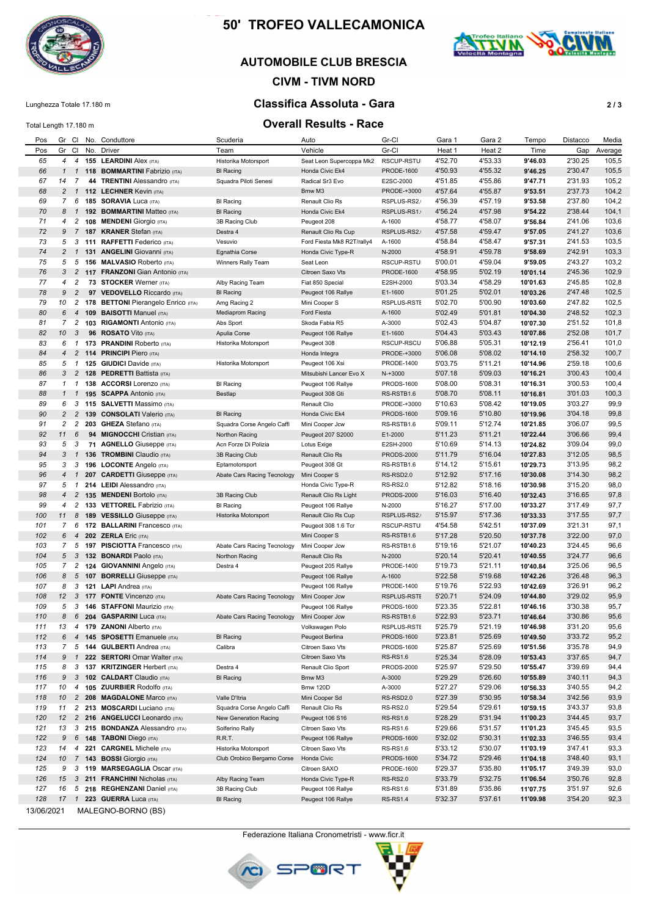

# **50' TROFEO VALLECAMONICA**

## **AUTOMOBILE CLUB BRESCIA**

# **CIVM - TIVM NORD**

# Lunghezza Totale 17.180 m **Classifica Assoluta - Gara 2 / 3**

#### Total Length 17.180 m **Overall Results - Race**

| Pos        | Gr Cl          |                |     | No. Conduttore                        | Scuderia                    | Auto                       | Gr-Cl             | Gara 1  | Gara 2  | Tempo    | Distacco | Media   |
|------------|----------------|----------------|-----|---------------------------------------|-----------------------------|----------------------------|-------------------|---------|---------|----------|----------|---------|
| Pos        |                |                |     |                                       |                             |                            | Gr-Cl             |         |         |          | Gap      |         |
|            | Gr Cl          |                |     | No. Driver                            | Team                        | Vehicle                    |                   | Heat 1  | Heat 2  | Time     |          | Average |
| 65         |                |                |     | 4 4 155 LEARDINI Alex (ITA)           | Historika Motorsport        | Seat Leon Supercoppa Mk2   | RSCUP-RSTU        | 4'52.70 | 4'53.33 | 9'46.03  | 2'30.25  | 105,5   |
| 66         | $\mathbf{1}$   | 1              |     | 118 BOMMARTINI Fabrizio (ITA)         | <b>BI</b> Racing            | Honda Civic Ek4            | <b>PRODE-1600</b> | 4'50.93 | 4'55.32 | 9'46.25  | 2'30.47  | 105,5   |
| 67         | 14             | 7              | 44  | <b>TRENTINI</b> Alessandro (ITA)      | Squadra Piloti Senesi       | Radical Sr3 Evo            | E2SC-2000         | 4'51.85 | 4'55.86 | 9'47.71  | 2'31.93  | 105,2   |
|            |                |                |     |                                       |                             |                            |                   |         |         |          |          |         |
| 68         | $\overline{c}$ | $\overline{1}$ |     | 112 LECHNER Kevin (ITA)               |                             | Bmw M3                     | PRODE-+3000       | 4'57.64 | 4'55.87 | 9'53.51  | 2'37.73  | 104,2   |
| 69         | 7 <sup>7</sup> | 6              |     | <b>185 SORAVIA Luca (ITA)</b>         | <b>BI Racing</b>            | Renault Clio Rs            | RSPLUS-RS2.       | 4'56.39 | 4'57.19 | 9'53.58  | 2'37.80  | 104,2   |
| 70         | 8              | $\overline{1}$ |     | 192 BOMMARTINI Matteo (ITA)           | <b>BI Racing</b>            | Honda Civic Ek4            | RSPLUS-RS1.       | 4'56.24 | 4'57.98 | 9'54.22  | 2'38.44  | 104,1   |
| 71         | 4              | 2              |     | 108 MENDENI Giorgio (ITA)             | 3B Racing Club              | Peugeot 208                | A-1600            | 4'58.77 | 4'58.07 | 9'56.84  | 2'41.06  | 103,6   |
|            |                |                |     |                                       |                             |                            |                   |         |         |          |          |         |
| 72         | 9              | $\overline{7}$ |     | <b>187 KRANER Stefan (ITA)</b>        | Destra 4                    | Renault Clio Rs Cup        | RSPLUS-RS2.       | 4'57.58 | 4'59.47 | 9'57.05  | 2'41.27  | 103,6   |
| 73         | 5              | 3              |     | 111 RAFFETTI Federico (ITA)           | Vesuvio                     | Ford Fiesta Mk8 R2T/rally4 | A-1600            | 4'58.84 | 4'58.47 | 9'57.31  | 2'41.53  | 103,5   |
| 74         |                | $2 \quad 1$    |     | 131 ANGELINI Giovanni (ITA)           | Egnathia Corse              | Honda Civic Type-R         | N-2000            | 4'58.91 | 4'59.78 | 9'58.69  | 2'42.91  | 103,3   |
| 75         |                |                |     |                                       |                             |                            |                   |         |         |          |          |         |
|            | 5              | 5              |     | 156 MALVASIO Roberto (ITA)            | Winners Rally Team          | Seat Leon                  | RSCUP-RSTU        | 5'00.01 | 4'59.04 | 9'59.05  | 2'43.27  | 103,2   |
| 76         |                | 3 <sub>2</sub> |     | 117 FRANZONI Gian Antonio (ITA)       |                             | Citroen Saxo Vts           | <b>PRODE-1600</b> | 4'58.95 | 5'02.19 | 10'01.14 | 2'45.36  | 102,9   |
| 77         | 4              | $\overline{c}$ |     | 73 STOCKER Werner (ITA)               | Alby Racing Team            | Fiat 850 Special           | E2SH-2000         | 5'03.34 | 4'58.29 | 10'01.63 | 2'45.85  | 102,8   |
| 78         | 9              | $\overline{c}$ | 97  | <b>VEDOVELLO Riccardo (ITA)</b>       | <b>BI Racing</b>            | Peugeot 106 Rallye         | E1-1600           | 5'01.25 | 5'02.01 | 10'03.26 | 2'47.48  | 102,5   |
|            |                |                |     |                                       |                             |                            |                   |         |         |          |          |         |
| 79         | 10             |                |     | 2 178 BETTONI Pierangelo Enrico (ITA) | Amg Racing 2                | Mini Cooper S              | RSPLUS-RSTI       | 5'02.70 | 5'00.90 | 10'03.60 | 2'47.82  | 102,5   |
| 80         | 6              | $\overline{4}$ | 109 | <b>BAISOTTI Manuel (ITA)</b>          | Mediaprom Racing            | Ford Fiesta                | A-1600            | 5'02.49 | 5'01.81 | 10'04.30 | 2'48.52  | 102,3   |
| 81         | $\overline{7}$ | $\overline{2}$ |     | 103 RIGAMONTI Antonio (ITA)           | Abs Sport                   | Skoda Fabia R5             | A-3000            | 5'02.43 | 5'04.87 | 10'07.30 | 2'51.52  | 101,8   |
| 82         | 10             | 3              |     | 96 ROSATO Vito (ITA)                  | Apulia Corse                | Peugeot 106 Rallye         | E1-1600           | 5'04.43 | 5'03.43 | 10'07.86 | 2'52.08  | 101,7   |
|            |                |                |     |                                       |                             |                            |                   |         |         |          |          |         |
| 83         |                | 6 1            |     | 173 PRANDINI Roberto (ITA)            | Historika Motorsport        | Peugeot 308                | RSCUP-RSCU        | 5'06.88 | 5'05.31 | 10'12.19 | 2'56.41  | 101,0   |
| 84         | $\overline{4}$ | $\overline{c}$ |     | 114 PRINCIPI Piero (ITA)              |                             | Honda Integra              | PRODE-+3000       | 5'06.08 | 5'08.02 | 10'14.10 | 2'58.32  | 100,7   |
| 85         |                | 5 1            |     | 125 GIUDICI Davide (ITA)              | Historika Motorsport        | Peugeot 106 Xsi            | <b>PRODE-1400</b> | 5'03.75 | 5'11.21 | 10'14.96 | 2'59.18  | 100,6   |
|            |                |                |     |                                       |                             |                            |                   |         |         |          |          |         |
| 86         |                | 3 <sub>2</sub> |     | 128 PEDRETTI Battista (ITA)           |                             | Mitsubishi Lancer Evo X    | N-+3000           | 5'07.18 | 5'09.03 | 10'16.21 | 3'00.43  | 100,4   |
| 87         | $\mathcal I$   | $\overline{1}$ |     | 138 ACCORSI Lorenzo (ITA)             | <b>BI Racing</b>            | Peugeot 106 Rallye         | <b>PRODS-1600</b> | 5'08.00 | 5'08.31 | 10'16.31 | 3'00.53  | 100,4   |
| 88         | $\mathbf{1}$   | $\mathbf{1}$   |     | 195 SCAPPA Antonio (ITA)              | Bestlap                     | Peugeot 308 Gti            | RS-RSTB1.6        | 5'08.70 | 5'08.11 | 10'16.81 | 3'01.03  | 100,3   |
| 89         | 6              | 3              |     | 115 SALVETTI Massimo (ITA)            |                             | Renault Clio               | PRODE-+3000       | 5'10.63 | 5'08.42 | 10'19.05 | 3'03.27  | 99,9    |
|            |                |                |     |                                       |                             |                            |                   |         |         |          |          |         |
| 90         | $\overline{a}$ | $\overline{2}$ | 139 | <b>CONSOLATI Valerio (ITA)</b>        | <b>BI Racing</b>            | Honda Civic Ek4            | <b>PRODS-1600</b> | 5'09.16 | 5'10.80 | 10'19.96 | 3'04.18  | 99,8    |
| 91         | 2              | $\overline{c}$ |     | 203 GHEZA Stefano (ITA)               | Squadra Corse Angelo Caffi  | Mini Cooper Jcw            | RS-RSTB1.6        | 5'09.11 | 5'12.74 | 10'21.85 | 3'06.07  | 99,5    |
| 92         | 11             | 6              |     | 94 MIGNOCCHI Cristian (ITA)           | Northon Racing              | Peugeot 207 S2000          | E1-2000           | 5'11.23 | 5'11.21 | 10'22.44 | 3'06.66  | 99,4    |
| 93         | 5              | 3              |     | 71 AGNELLO Giuseppe (ITA)             | Acn Forze Di Polizia        |                            | E2SH-2000         | 5'10.69 | 5'14.13 | 10'24.82 | 3'09.04  | 99,0    |
|            |                |                |     |                                       |                             | Lotus Exige                |                   |         |         |          |          |         |
| 94         |                | $3 \quad 1$    |     | <b>136 TROMBINI</b> Claudio (ITA)     | 3B Racing Club              | Renault Clio Rs            | <b>PRODS-2000</b> | 5'11.79 | 5'16.04 | 10'27.83 | 3'12.05  | 98,5    |
| 95         | 3              | 3              |     | 196 LOCONTE Angelo (ITA)              | Eptamotorsport              | Peugeot 308 Gt             | RS-RSTB1.6        | 5'14.12 | 5'15.61 | 10'29.73 | 3'13.95  | 98,2    |
| 96         |                | $4 \quad 1$    |     | 207 CARDETTI Giuseppe (ITA)           | Abate Cars Racing Tecnology | Mini Cooper S              | RS-RSD2.0         | 5'12.92 | 5'17.16 | 10'30.08 | 3'14.30  | 98,2    |
|            |                |                |     |                                       |                             |                            |                   |         |         |          |          |         |
| 97         | 5              | $\overline{1}$ |     | 214 LEIDI Alessandro (ITA)            |                             | Honda Civic Type-R         | <b>RS-RS2.0</b>   | 5'12.82 | 5'18.16 | 10'30.98 | 3'15.20  | 98,0    |
| 98         | 4              | $\overline{2}$ |     | 135 MENDENI Bortolo (ITA)             | 3B Racing Club              | Renault Clio Rs Light      | <b>PRODS-2000</b> | 5'16.03 | 5'16.40 | 10'32.43 | 3'16.65  | 97,8    |
| 99         | 4              | 2              |     | 133 VETTOREL Fabrizio (ITA)           | <b>BI Racing</b>            | Peugeot 106 Rallye         | N-2000            | 5'16.27 | 5'17.00 | 10'33.27 | 3'17.49  | 97,7    |
| 100        | 11             | 8              | 189 | <b>VESSILLO</b> Giuseppe (ITA)        | Historika Motorsport        | Renault Clio Rs Cup        | RSPLUS-RS2.       | 5'15.97 | 5'17.36 | 10'33.33 | 3'17.55  | 97,7    |
|            |                |                |     |                                       |                             |                            |                   |         |         |          |          |         |
| 101        |                | 7 6            |     | 172 BALLARINI Francesco (ITA)         |                             | Peugeot 308 1.6 Tcr        | RSCUP-RSTU        | 4'54.58 | 5'42.51 | 10'37.09 | 3'21.31  | 97,1    |
| 102        | 6              | $\overline{4}$ |     | 202 ZERLA Eric (ITA)                  |                             | Mini Cooper S              | RS-RSTB1.6        | 5'17.28 | 5'20.50 | 10'37.78 | 3'22.00  | 97,0    |
| 103        |                |                |     | 7 5 197 PISCIOTTA Francesco (ITA)     | Abate Cars Racing Tecnology | Mini Cooper Jcw            | RS-RSTB1.6        | 5'19.16 | 5'21.07 | 10'40.23 | 3'24.45  | 96,6    |
| 104        | 5 <sup>5</sup> | $\mathbf{3}$   |     | 132 BONARDI Paolo (ITA)               |                             |                            | N-2000            | 5'20.14 | 5'20.41 |          | 3'24.77  | 96,6    |
|            |                |                |     |                                       | Northon Racing              | Renault Clio Rs            |                   |         |         | 10'40.55 |          |         |
| 105        |                |                |     | 7 2 124 GIOVANNINI Angelo (ITA)       | Destra 4                    | Peugeot 205 Rallye         | <b>PRODE-1400</b> | 5'19.73 | 5'21.11 | 10'40.84 | 3'25.06  | 96,5    |
| 106        | 8              | 5              |     | 107 BORRELLI Giuseppe (ITA)           |                             | Peugeot 106 Rallye         | A-1600            | 5'22.58 | 5'19.68 | 10'42.26 | 3'26.48  | 96,3    |
| 107        | 8              | 3              |     | 121 LAPI Andrea (ITA)                 |                             | Peugeot 106 Rallye         | <b>PRODE-1400</b> | 5'19.76 | 5'22.93 | 10'42.69 | 3'26.91  | 96,2    |
|            |                |                |     |                                       |                             |                            |                   |         |         |          |          |         |
| 108        | 12             | 3              |     | 177 FONTE Vincenzo (ITA)              | Abate Cars Racing Tecnology | Mini Cooper Jcw            | RSPLUS-RSTI       | 5'20.71 | 5'24.09 | 10'44.80 | 3'29.02  | 95,9    |
| 109        | 5              | 3              |     | <b>146 STAFFONI Maurizio (ITA)</b>    |                             | Peugeot 106 Rallye         | <b>PRODS-1600</b> | 5'23.35 | 5'22.81 | 10'46.16 | 3'30.38  | 95,7    |
| 110        | 8              |                |     | 6 204 GASPARINI Luca (ITA)            | Abate Cars Racing Tecnology | Mini Cooper Jcw            | RS-RSTB1.6        | 5'22.93 | 5'23.71 | 10'46.64 | 3'30.86  | 95,6    |
| 111        | 13             |                |     | 4 179 ZANONI Alberto (ITA)            |                             | Volkswagen Polo            | RSPLUS-RSTI       | 5'25.79 | 5'21.19 | 10'46.98 | 3'31.20  | 95,6    |
|            |                |                |     |                                       |                             |                            |                   |         |         |          |          |         |
| 112        |                |                |     | 6 4 145 SPOSETTI Emanuele (ITA)       | <b>BI Racing</b>            | Peugeot Berlina            | PRODS-1600        | 5'23.81 | 5'25.69 | 10'49.50 | 3'33.72  | 95,2    |
| 113        | 7              |                |     | 5 144 GULBERTI Andrea (ITA)           | Calibra                     | Citroen Saxo Vts           | <b>PRODS-1600</b> | 5'25.87 | 5'25.69 | 10'51.56 | 3'35.78  | 94,9    |
| 114        |                | 9 1            |     | 222 SERTORI Omar Walter (ITA)         |                             | Citroen Saxo Vts           | <b>RS-RS1.6</b>   | 5'25.34 | 5'28.09 | 10'53.43 | 3'37.65  | 94,7    |
|            | 8              |                |     |                                       |                             |                            |                   |         | 5'29.50 |          |          |         |
| 115        |                |                |     | 3 137 KRITZINGER Herbert (ITA)        | Destra 4                    | Renault Clio Sport         | <b>PRODS-2000</b> | 5'25.97 |         | 10'55.47 | 3'39.69  | 94,4    |
| 116        |                |                |     | 9 3 102 CALDART Claudio (ITA)         | <b>BI</b> Racing            | Bmw M3                     | A-3000            | 5'29.29 | 5'26.60 | 10'55.89 | 3'40.11  | 94,3    |
| 117        | 10             | $\overline{4}$ |     | 105 ZUURBIER Rodolfo (ITA)            |                             | <b>Bmw 120D</b>            | A-3000            | 5'27.27 | 5'29.06 | 10'56.33 | 3'40.55  | 94,2    |
| 118        | 10             |                |     | 2 208 MAGDALONE Marco (ITA)           | Valle D'Itria               | Mini Cooper Sd             | RS-RSD2.0         | 5'27.39 | 5'30.95 | 10'58.34 | 3'42.56  | 93,9    |
|            |                |                |     |                                       |                             |                            |                   |         |         |          |          |         |
| 119        | 11             |                |     | 2 213 MOSCARDI Luciano (ITA)          | Squadra Corse Angelo Caffi  | Renault Clio Rs            | <b>RS-RS2.0</b>   | 5'29.54 | 5'29.61 | 10'59.15 | 3'43.37  | 93,8    |
| 120        | 12             |                |     | 2 216 ANGELUCCI Leonardo (ITA)        | New Generation Racing       | Peugeot 106 S16            | RS-RS1.6          | 5'28.29 | 5'31.94 | 11'00.23 | 3'44.45  | 93,7    |
| 121        | 13             |                |     | 3 215 BONDANZA Alessandro (ITA)       | Solferino Rally             | Citroen Saxo Vts           | <b>RS-RS1.6</b>   | 5'29.66 | 5'31.57 | 11'01.23 | 3'45.45  | 93,5    |
| 122        | 9              |                |     | 6 148 TABONI Diego (ITA)              | R.R.T.                      | Peugeot 106 Rallye         | PRODS-1600        | 5'32.02 | 5'30.31 |          | 3'46.55  | 93,4    |
|            |                |                |     |                                       |                             |                            |                   |         |         | 11'02.33 |          |         |
| 123        | 14             | $\overline{4}$ |     | 221 CARGNEL Michele (ITA)             | Historika Motorsport        | Citroen Saxo Vts           | <b>RS-RS1.6</b>   | 5'33.12 | 5'30.07 | 11'03.19 | 3'47.41  | 93,3    |
| 124        | 10             |                |     | 7 143 BOSSI Giorgio (ITA)             | Club Orobico Bergamo Corse  | Honda Civic                | <b>PRODS-1600</b> | 5'34.72 | 5'29.46 | 11'04.18 | 3'48.40  | 93,1    |
| 125        | 9              |                |     | 3 119 MARSEGAGLIA Oscar (ITA)         |                             | Citroen SAXO               | PRODE-1600        | 5'29.37 | 5'35.80 | 11'05.17 | 3'49.39  | 93,0    |
|            |                |                |     |                                       |                             |                            |                   |         |         |          |          |         |
| 126        | 15             |                |     | 3 211 FRANCHINI Nicholas (ITA)        | Alby Racing Team            | Honda Civic Type-R         | <b>RS-RS2.0</b>   | 5'33.79 | 5'32.75 | 11'06.54 | 3'50.76  | 92,8    |
| 127        | 16             |                |     | 5 218 REGHENZANI Daniel (ITA)         | 3B Racing Club              | Peugeot 106 Rallye         | <b>RS-RS1.6</b>   | 5'31.89 | 5'35.86 | 11'07.75 | 3'51.97  | 92,6    |
| 128        |                |                |     | 17  1  223  GUERRA Luca (ITA)         | <b>BI Racing</b>            | Peugeot 106 Rallye         | <b>RS-RS1.4</b>   | 5'32.37 | 5'37.61 | 11'09.98 | 3'54.20  | 92,3    |
|            |                |                |     |                                       |                             |                            |                   |         |         |          |          |         |
| 13/06/2021 |                |                |     | MALEGNO-BORNO (BS)                    |                             |                            |                   |         |         |          |          |         |

Federazione Italiana Cronometristi - www.ficr.it